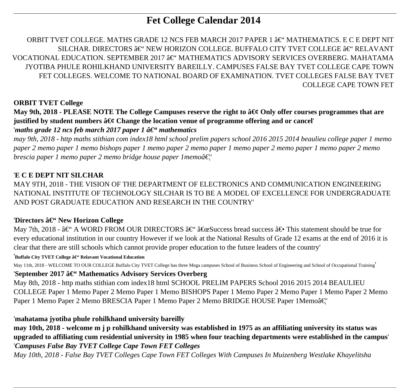# **Fet College Calendar 2014**

ORBIT TVET COLLEGE. MATHS GRADE 12 NCS FEB MARCH 2017 PAPER 1  $\hat{a}\in$ " MATHEMATICS. E C E DEPT NIT SILCHAR. DIRECTORS  $\hat{a}\in$ " NEW HORIZON COLLEGE. BUFFALO CITY TVET COLLEGE  $\hat{a}\in$ " RELAVANT VOCATIONAL EDUCATION. SEPTEMBER 2017  $\hat{a}\in$ " MATHEMATICS ADVISORY SERVICES OVERBERG. MAHATAMA JYOTIBA PHULE ROHILKHAND UNIVERSITY BAREILLY. CAMPUSES FALSE BAY TVET COLLEGE CAPE TOWN FET COLLEGES. WELCOME TO NATIONAL BOARD OF EXAMINATION. TVET COLLEGES FALSE BAY TVET COLLEGE CAPE TOWN FET

# **ORBIT TVET College**

# **May 9th, 2018 - PLEASE NOTE The College Campuses reserve the right to**  $\hat{a} \in \emptyset$  **Only offer courses programmes that are** justified by student numbers  $\hat{a}\epsilon \notin \mathcal{C}$  hange the location venue of programme offering and or cancel

# '*maths grade 12 ncs feb march 2017 paper 1*  $\hat{a} \in \mathcal{C}$ *'' mathematics*

*may 9th, 2018 - http maths stithian com index18 html school prelim papers school 2016 2015 2014 beaulieu college paper 1 memo paper 2 memo paper 1 memo bishops paper 1 memo paper 2 memo paper 1 memo paper 2 memo paper 1 memo paper 2 memo brescia paper 1 memo paper 2 memo bridge house paper 1 memoâ€*<sup>"</sup>

# '**E C E DEPT NIT SILCHAR**

MAY 9TH, 2018 - THE VISION OF THE DEPARTMENT OF ELECTRONICS AND COMMUNICATION ENGINEERING NATIONAL INSTITUTE OF TECHNOLOGY SILCHAR IS TO BE A MODEL OF EXCELLENCE FOR UNDERGRADUATE AND POST GRADUATE EDUCATION AND RESEARCH IN THE COUNTRY'

#### 'Directors â€" New Horizon College

May 7th, 2018 -  $\hat{a} \in \hat{B}^*$  A WORD FROM OUR DIRECTORS  $\hat{a} \in \hat{B}^*$  and success bread success  $\hat{a} \in \hat{B}$  This statement should be true for every educational institution in our country However if we look at the National Results of Grade 12 exams at the end of 2016 it is clear that there are still schools which cannot provide proper education to the future leaders of the country'

#### <sup>'</sup>**Buffalo City TVET College â€" Relavant Vocational Education**

May 11th, 2018 - WELCOME TO OUR COLLEGE Buffalo City TVET College has three Mega campuses School of Business School of Engineering and School of Occupational Training'

#### 'September 2017 â€" Mathematics Advisory Services Overberg

May 8th, 2018 - http maths stithian com index18 html SCHOOL PRELIM PAPERS School 2016 2015 2014 BEAULIEU COLLEGE Paper 1 Memo Paper 2 Memo Paper 1 Memo BISHOPS Paper 1 Memo Paper 2 Memo Paper 1 Memo Paper 2 Memo Paper 1 Memo Paper 2 Memo BRESCIA Paper 1 Memo Paper 2 Memo BRIDGE HOUSE Paper 1 Memoâ€<sup>"</sup>

# '**mahatama jyotiba phule rohilkhand university bareilly**

**may 10th, 2018 - welcome m j p rohilkhand university was established in 1975 as an affiliating university its status was upgraded to affiliating cum residential university in 1985 when four teaching departments were established in the campus**' '*Campuses False Bay TVET College Cape Town FET Colleges*

*May 10th, 2018 - False Bay TVET Colleges Cape Town FET Colleges With Campuses In Muizenberg Westlake Khayelitsha*